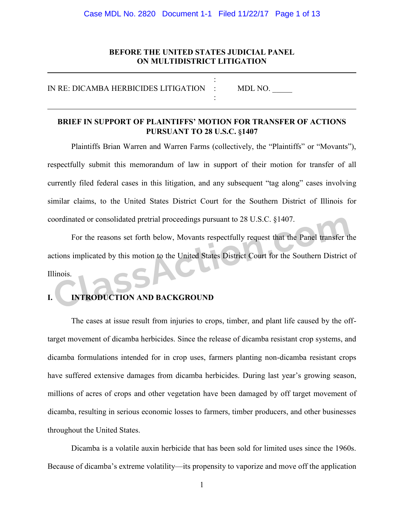### Case MDL No. 2820 Document 1-1 Filed 11/22/17 Page 1 of 13

# **BEFORE THE UNITED STATES JUDICIAL PANEL ON MULTIDISTRICT LITIGATION**

| IN RE: DICAMBA HERBICIDES LITIGATION : | MDL NO. |
|----------------------------------------|---------|
|                                        |         |

# **BRIEF IN SUPPORT OF PLAINTIFFS' MOTION FOR TRANSFER OF ACTIONS PURSUANT TO 28 U.S.C. §1407**

Plaintiffs Brian Warren and Warren Farms (collectively, the "Plaintiffs" or "Movants"), respectfully submit this memorandum of law in support of their motion for transfer of all currently filed federal cases in this litigation, and any subsequent "tag along" cases involving similar claims, to the United States District Court for the Southern District of Illinois for coordinated or consolidated pretrial proceedings pursuant to 28 U.S.C. §1407.

For the reasons set forth below, Movants respectfully request that the Panel transfer the actions implicated by this motion to the United States District Court for the Southern District of Illinois. Coordinated or consolidated pretrial proceedings pursuant to 28 U.S.C. §1407.<br>
For the reasons set forth below, Movants respectfully request that the Panel transfer the consolidated by this motion to the United States Dist

# **INTRODUCTION AND BACKGROUND**

The cases at issue result from injuries to crops, timber, and plant life caused by the offtarget movement of dicamba herbicides. Since the release of dicamba resistant crop systems, and dicamba formulations intended for in crop uses, farmers planting non-dicamba resistant crops have suffered extensive damages from dicamba herbicides. During last year's growing season, millions of acres of crops and other vegetation have been damaged by off target movement of dicamba, resulting in serious economic losses to farmers, timber producers, and other businesses throughout the United States.

Dicamba is a volatile auxin herbicide that has been sold for limited uses since the 1960s. Because of dicamba's extreme volatility—its propensity to vaporize and move off the application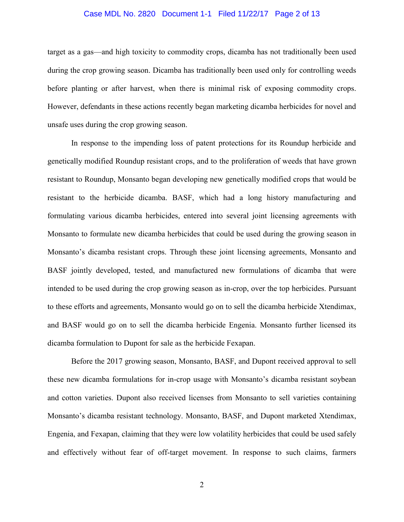#### Case MDL No. 2820 Document 1-1 Filed 11/22/17 Page 2 of 13

target as a gas—and high toxicity to commodity crops, dicamba has not traditionally been used during the crop growing season. Dicamba has traditionally been used only for controlling weeds before planting or after harvest, when there is minimal risk of exposing commodity crops. However, defendants in these actions recently began marketing dicamba herbicides for novel and unsafe uses during the crop growing season.

In response to the impending loss of patent protections for its Roundup herbicide and genetically modified Roundup resistant crops, and to the proliferation of weeds that have grown resistant to Roundup, Monsanto began developing new genetically modified crops that would be resistant to the herbicide dicamba. BASF, which had a long history manufacturing and formulating various dicamba herbicides, entered into several joint licensing agreements with Monsanto to formulate new dicamba herbicides that could be used during the growing season in Monsanto's dicamba resistant crops. Through these joint licensing agreements, Monsanto and BASF jointly developed, tested, and manufactured new formulations of dicamba that were intended to be used during the crop growing season as in-crop, over the top herbicides. Pursuant to these efforts and agreements, Monsanto would go on to sell the dicamba herbicide Xtendimax, and BASF would go on to sell the dicamba herbicide Engenia. Monsanto further licensed its dicamba formulation to Dupont for sale as the herbicide Fexapan.

Before the 2017 growing season, Monsanto, BASF, and Dupont received approval to sell these new dicamba formulations for in-crop usage with Monsanto's dicamba resistant soybean and cotton varieties. Dupont also received licenses from Monsanto to sell varieties containing Monsanto's dicamba resistant technology. Monsanto, BASF, and Dupont marketed Xtendimax, Engenia, and Fexapan, claiming that they were low volatility herbicides that could be used safely and effectively without fear of off-target movement. In response to such claims, farmers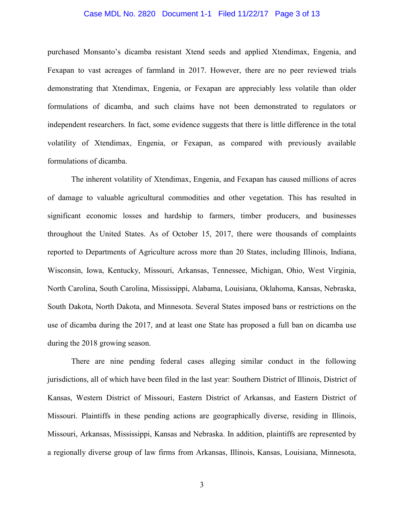### Case MDL No. 2820 Document 1-1 Filed 11/22/17 Page 3 of 13

purchased Monsanto's dicamba resistant Xtend seeds and applied Xtendimax, Engenia, and Fexapan to vast acreages of farmland in 2017. However, there are no peer reviewed trials demonstrating that Xtendimax, Engenia, or Fexapan are appreciably less volatile than older formulations of dicamba, and such claims have not been demonstrated to regulators or independent researchers. In fact, some evidence suggests that there is little difference in the total volatility of Xtendimax, Engenia, or Fexapan, as compared with previously available formulations of dicamba.

The inherent volatility of Xtendimax, Engenia, and Fexapan has caused millions of acres of damage to valuable agricultural commodities and other vegetation. This has resulted in significant economic losses and hardship to farmers, timber producers, and businesses throughout the United States. As of October 15, 2017, there were thousands of complaints reported to Departments of Agriculture across more than 20 States, including Illinois, Indiana, Wisconsin, Iowa, Kentucky, Missouri, Arkansas, Tennessee, Michigan, Ohio, West Virginia, North Carolina, South Carolina, Mississippi, Alabama, Louisiana, Oklahoma, Kansas, Nebraska, South Dakota, North Dakota, and Minnesota. Several States imposed bans or restrictions on the use of dicamba during the 2017, and at least one State has proposed a full ban on dicamba use during the 2018 growing season.

There are nine pending federal cases alleging similar conduct in the following jurisdictions, all of which have been filed in the last year: Southern District of Illinois, District of Kansas, Western District of Missouri, Eastern District of Arkansas, and Eastern District of Missouri. Plaintiffs in these pending actions are geographically diverse, residing in Illinois, Missouri, Arkansas, Mississippi, Kansas and Nebraska. In addition, plaintiffs are represented by a regionally diverse group of law firms from Arkansas, Illinois, Kansas, Louisiana, Minnesota,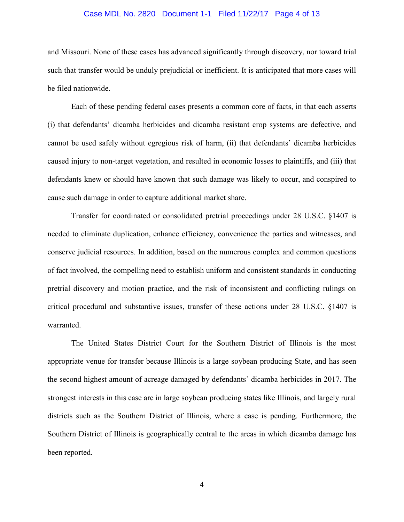### Case MDL No. 2820 Document 1-1 Filed 11/22/17 Page 4 of 13

and Missouri. None of these cases has advanced significantly through discovery, nor toward trial such that transfer would be unduly prejudicial or inefficient. It is anticipated that more cases will be filed nationwide.

Each of these pending federal cases presents a common core of facts, in that each asserts (i) that defendants' dicamba herbicides and dicamba resistant crop systems are defective, and cannot be used safely without egregious risk of harm, (ii) that defendants' dicamba herbicides caused injury to non-target vegetation, and resulted in economic losses to plaintiffs, and (iii) that defendants knew or should have known that such damage was likely to occur, and conspired to cause such damage in order to capture additional market share.

Transfer for coordinated or consolidated pretrial proceedings under 28 U.S.C. §1407 is needed to eliminate duplication, enhance efficiency, convenience the parties and witnesses, and conserve judicial resources. In addition, based on the numerous complex and common questions of fact involved, the compelling need to establish uniform and consistent standards in conducting pretrial discovery and motion practice, and the risk of inconsistent and conflicting rulings on critical procedural and substantive issues, transfer of these actions under 28 U.S.C. §1407 is warranted.

The United States District Court for the Southern District of Illinois is the most appropriate venue for transfer because Illinois is a large soybean producing State, and has seen the second highest amount of acreage damaged by defendants' dicamba herbicides in 2017. The strongest interests in this case are in large soybean producing states like Illinois, and largely rural districts such as the Southern District of Illinois, where a case is pending. Furthermore, the Southern District of Illinois is geographically central to the areas in which dicamba damage has been reported.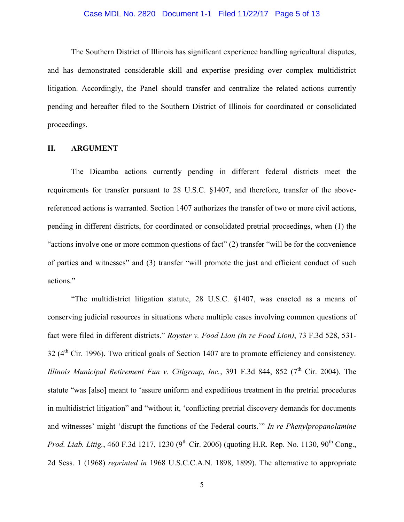#### Case MDL No. 2820 Document 1-1 Filed 11/22/17 Page 5 of 13

The Southern District of Illinois has significant experience handling agricultural disputes, and has demonstrated considerable skill and expertise presiding over complex multidistrict litigation. Accordingly, the Panel should transfer and centralize the related actions currently pending and hereafter filed to the Southern District of Illinois for coordinated or consolidated proceedings.

## **II. ARGUMENT**

The Dicamba actions currently pending in different federal districts meet the requirements for transfer pursuant to 28 U.S.C. §1407, and therefore, transfer of the abovereferenced actions is warranted. Section 1407 authorizes the transfer of two or more civil actions, pending in different districts, for coordinated or consolidated pretrial proceedings, when (1) the "actions involve one or more common questions of fact" (2) transfer "will be for the convenience of parties and witnesses" and (3) transfer "will promote the just and efficient conduct of such actions."

"The multidistrict litigation statute, 28 U.S.C. §1407, was enacted as a means of conserving judicial resources in situations where multiple cases involving common questions of fact were filed in different districts." *Royster v. Food Lion (In re Food Lion)*, 73 F.3d 528, 531-  $32$  ( $4<sup>th</sup>$  Cir. 1996). Two critical goals of Section 1407 are to promote efficiency and consistency. *Illinois Municipal Retirement Fun v. Citigroup, Inc.*, 391 F.3d 844, 852 (7<sup>th</sup> Cir. 2004). The statute "was [also] meant to 'assure uniform and expeditious treatment in the pretrial procedures in multidistrict litigation" and "without it, 'conflicting pretrial discovery demands for documents and witnesses' might 'disrupt the functions of the Federal courts.'" *In re Phenylpropanolamine Prod. Liab. Litig.*, 460 F.3d 1217, 1230 (9<sup>th</sup> Cir. 2006) (quoting H.R. Rep. No. 1130, 90<sup>th</sup> Cong., 2d Sess. 1 (1968) *reprinted in* 1968 U.S.C.C.A.N. 1898, 1899). The alternative to appropriate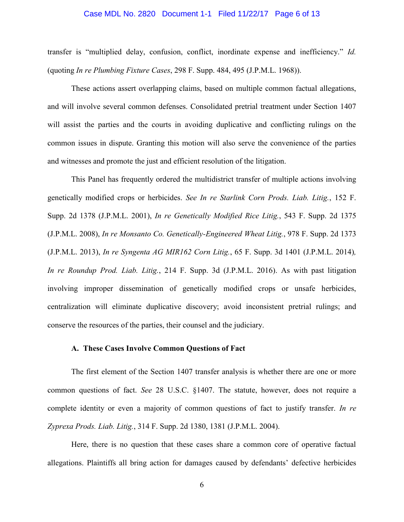### Case MDL No. 2820 Document 1-1 Filed 11/22/17 Page 6 of 13

transfer is "multiplied delay, confusion, conflict, inordinate expense and inefficiency." *Id.*  (quoting *In re Plumbing Fixture Cases*, 298 F. Supp. 484, 495 (J.P.M.L. 1968)).

These actions assert overlapping claims, based on multiple common factual allegations, and will involve several common defenses. Consolidated pretrial treatment under Section 1407 will assist the parties and the courts in avoiding duplicative and conflicting rulings on the common issues in dispute. Granting this motion will also serve the convenience of the parties and witnesses and promote the just and efficient resolution of the litigation.

This Panel has frequently ordered the multidistrict transfer of multiple actions involving genetically modified crops or herbicides. *See In re Starlink Corn Prods. Liab. Litig.*, 152 F. Supp. 2d 1378 (J.P.M.L. 2001), *In re Genetically Modified Rice Litig.*, 543 F. Supp. 2d 1375 (J.P.M.L. 2008), *In re Monsanto Co. Genetically-Engineered Wheat Litig.*, 978 F. Supp. 2d 1373 (J.P.M.L. 2013), *In re Syngenta AG MIR162 Corn Litig.*, 65 F. Supp. 3d 1401 (J.P.M.L. 2014)*, In re Roundup Prod. Liab. Litig.*, 214 F. Supp. 3d (J.P.M.L. 2016). As with past litigation involving improper dissemination of genetically modified crops or unsafe herbicides, centralization will eliminate duplicative discovery; avoid inconsistent pretrial rulings; and conserve the resources of the parties, their counsel and the judiciary.

# **A. These Cases Involve Common Questions of Fact**

The first element of the Section 1407 transfer analysis is whether there are one or more common questions of fact. *See* 28 U.S.C. §1407. The statute, however, does not require a complete identity or even a majority of common questions of fact to justify transfer. *In re Zyprexa Prods. Liab. Litig.*, 314 F. Supp. 2d 1380, 1381 (J.P.M.L. 2004).

Here, there is no question that these cases share a common core of operative factual allegations. Plaintiffs all bring action for damages caused by defendants' defective herbicides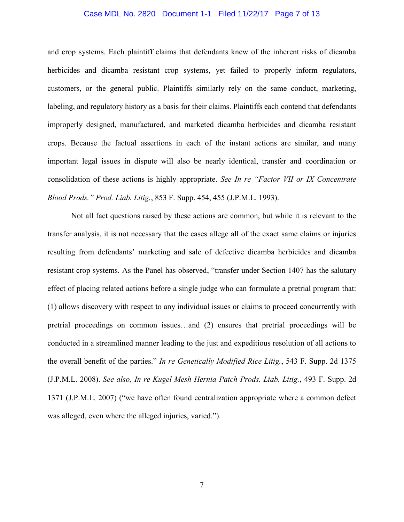### Case MDL No. 2820 Document 1-1 Filed 11/22/17 Page 7 of 13

and crop systems. Each plaintiff claims that defendants knew of the inherent risks of dicamba herbicides and dicamba resistant crop systems, yet failed to properly inform regulators, customers, or the general public. Plaintiffs similarly rely on the same conduct, marketing, labeling, and regulatory history as a basis for their claims. Plaintiffs each contend that defendants improperly designed, manufactured, and marketed dicamba herbicides and dicamba resistant crops. Because the factual assertions in each of the instant actions are similar, and many important legal issues in dispute will also be nearly identical, transfer and coordination or consolidation of these actions is highly appropriate. *See In re "Factor VII or IX Concentrate Blood Prods." Prod. Liab. Litig.*, 853 F. Supp. 454, 455 (J.P.M.L. 1993).

Not all fact questions raised by these actions are common, but while it is relevant to the transfer analysis, it is not necessary that the cases allege all of the exact same claims or injuries resulting from defendants' marketing and sale of defective dicamba herbicides and dicamba resistant crop systems. As the Panel has observed, "transfer under Section 1407 has the salutary effect of placing related actions before a single judge who can formulate a pretrial program that: (1) allows discovery with respect to any individual issues or claims to proceed concurrently with pretrial proceedings on common issues…and (2) ensures that pretrial proceedings will be conducted in a streamlined manner leading to the just and expeditious resolution of all actions to the overall benefit of the parties." *In re Genetically Modified Rice Litig.*, 543 F. Supp. 2d 1375 (J.P.M.L. 2008). *See also, In re Kugel Mesh Hernia Patch Prods. Liab. Litig.*, 493 F. Supp. 2d 1371 (J.P.M.L. 2007) ("we have often found centralization appropriate where a common defect was alleged, even where the alleged injuries, varied.").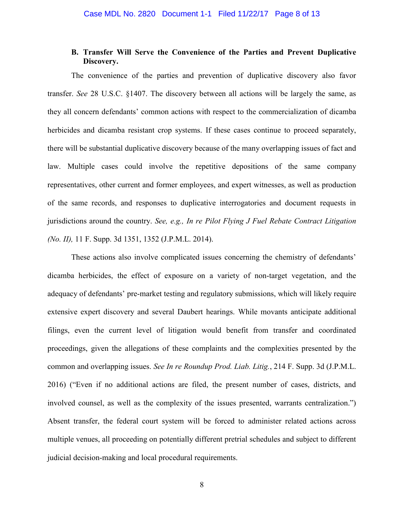# **B. Transfer Will Serve the Convenience of the Parties and Prevent Duplicative Discovery.**

The convenience of the parties and prevention of duplicative discovery also favor transfer. *See* 28 U.S.C. §1407. The discovery between all actions will be largely the same, as they all concern defendants' common actions with respect to the commercialization of dicamba herbicides and dicamba resistant crop systems. If these cases continue to proceed separately, there will be substantial duplicative discovery because of the many overlapping issues of fact and law. Multiple cases could involve the repetitive depositions of the same company representatives, other current and former employees, and expert witnesses, as well as production of the same records, and responses to duplicative interrogatories and document requests in jurisdictions around the country. *See, e.g., In re Pilot Flying J Fuel Rebate Contract Litigation (No. II),* 11 F. Supp. 3d 1351, 1352 (J.P.M.L. 2014).

These actions also involve complicated issues concerning the chemistry of defendants' dicamba herbicides, the effect of exposure on a variety of non-target vegetation, and the adequacy of defendants' pre-market testing and regulatory submissions, which will likely require extensive expert discovery and several Daubert hearings. While movants anticipate additional filings, even the current level of litigation would benefit from transfer and coordinated proceedings, given the allegations of these complaints and the complexities presented by the common and overlapping issues. *See In re Roundup Prod. Liab. Litig.*, 214 F. Supp. 3d (J.P.M.L. 2016) ("Even if no additional actions are filed, the present number of cases, districts, and involved counsel, as well as the complexity of the issues presented, warrants centralization.") Absent transfer, the federal court system will be forced to administer related actions across multiple venues, all proceeding on potentially different pretrial schedules and subject to different judicial decision-making and local procedural requirements.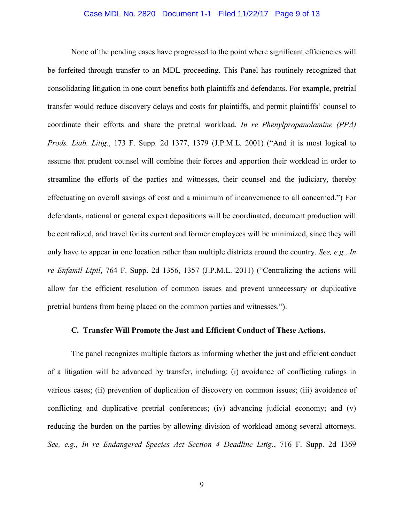### Case MDL No. 2820 Document 1-1 Filed 11/22/17 Page 9 of 13

None of the pending cases have progressed to the point where significant efficiencies will be forfeited through transfer to an MDL proceeding. This Panel has routinely recognized that consolidating litigation in one court benefits both plaintiffs and defendants. For example, pretrial transfer would reduce discovery delays and costs for plaintiffs, and permit plaintiffs' counsel to coordinate their efforts and share the pretrial workload. *In re Phenylpropanolamine (PPA) Prods. Liab. Litig.*, 173 F. Supp. 2d 1377, 1379 (J.P.M.L. 2001) ("And it is most logical to assume that prudent counsel will combine their forces and apportion their workload in order to streamline the efforts of the parties and witnesses, their counsel and the judiciary, thereby effectuating an overall savings of cost and a minimum of inconvenience to all concerned.") For defendants, national or general expert depositions will be coordinated, document production will be centralized, and travel for its current and former employees will be minimized, since they will only have to appear in one location rather than multiple districts around the country. *See, e.g., In re Enfamil Lipil*, 764 F. Supp. 2d 1356, 1357 (J.P.M.L. 2011) ("Centralizing the actions will allow for the efficient resolution of common issues and prevent unnecessary or duplicative pretrial burdens from being placed on the common parties and witnesses.").

# **C. Transfer Will Promote the Just and Efficient Conduct of These Actions.**

The panel recognizes multiple factors as informing whether the just and efficient conduct of a litigation will be advanced by transfer, including: (i) avoidance of conflicting rulings in various cases; (ii) prevention of duplication of discovery on common issues; (iii) avoidance of conflicting and duplicative pretrial conferences; (iv) advancing judicial economy; and (v) reducing the burden on the parties by allowing division of workload among several attorneys. *See, e.g., In re Endangered Species Act Section 4 Deadline Litig.*, 716 F. Supp. 2d 1369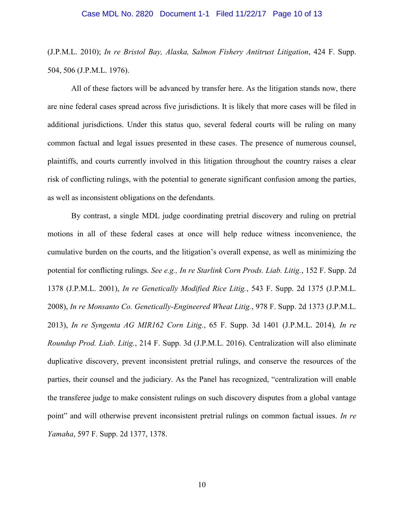### Case MDL No. 2820 Document 1-1 Filed 11/22/17 Page 10 of 13

(J.P.M.L. 2010); *In re Bristol Bay, Alaska, Salmon Fishery Antitrust Litigation*, 424 F. Supp. 504, 506 (J.P.M.L. 1976).

All of these factors will be advanced by transfer here. As the litigation stands now, there are nine federal cases spread across five jurisdictions. It is likely that more cases will be filed in additional jurisdictions. Under this status quo, several federal courts will be ruling on many common factual and legal issues presented in these cases. The presence of numerous counsel, plaintiffs, and courts currently involved in this litigation throughout the country raises a clear risk of conflicting rulings, with the potential to generate significant confusion among the parties, as well as inconsistent obligations on the defendants.

By contrast, a single MDL judge coordinating pretrial discovery and ruling on pretrial motions in all of these federal cases at once will help reduce witness inconvenience, the cumulative burden on the courts, and the litigation's overall expense, as well as minimizing the potential for conflicting rulings. *See e.g., In re Starlink Corn Prods. Liab. Litig.*, 152 F. Supp. 2d 1378 (J.P.M.L. 2001), *In re Genetically Modified Rice Litig.*, 543 F. Supp. 2d 1375 (J.P.M.L. 2008), *In re Monsanto Co. Genetically-Engineered Wheat Litig.*, 978 F. Supp. 2d 1373 (J.P.M.L. 2013), *In re Syngenta AG MIR162 Corn Litig.*, 65 F. Supp. 3d 1401 (J.P.M.L. 2014)*, In re Roundup Prod. Liab. Litig.*, 214 F. Supp. 3d (J.P.M.L. 2016). Centralization will also eliminate duplicative discovery, prevent inconsistent pretrial rulings, and conserve the resources of the parties, their counsel and the judiciary. As the Panel has recognized, "centralization will enable the transferee judge to make consistent rulings on such discovery disputes from a global vantage point" and will otherwise prevent inconsistent pretrial rulings on common factual issues. *In re Yamaha*, 597 F. Supp. 2d 1377, 1378.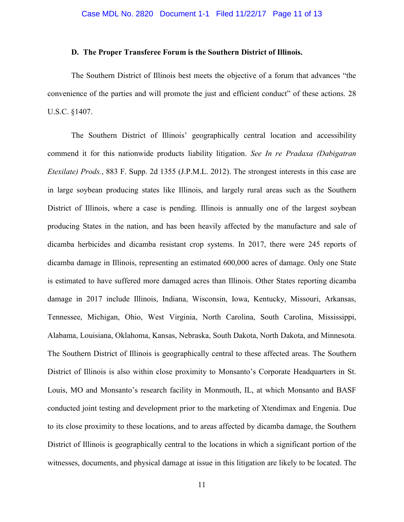## **D. The Proper Transferee Forum is the Southern District of Illinois.**

The Southern District of Illinois best meets the objective of a forum that advances "the convenience of the parties and will promote the just and efficient conduct" of these actions. 28 U.S.C. §1407.

The Southern District of Illinois' geographically central location and accessibility commend it for this nationwide products liability litigation. *See In re Pradaxa (Dabigatran Etexilate) Prods.*, 883 F. Supp. 2d 1355 (J.P.M.L. 2012). The strongest interests in this case are in large soybean producing states like Illinois, and largely rural areas such as the Southern District of Illinois, where a case is pending. Illinois is annually one of the largest soybean producing States in the nation, and has been heavily affected by the manufacture and sale of dicamba herbicides and dicamba resistant crop systems. In 2017, there were 245 reports of dicamba damage in Illinois, representing an estimated 600,000 acres of damage. Only one State is estimated to have suffered more damaged acres than Illinois. Other States reporting dicamba damage in 2017 include Illinois, Indiana, Wisconsin, Iowa, Kentucky, Missouri, Arkansas, Tennessee, Michigan, Ohio, West Virginia, North Carolina, South Carolina, Mississippi, Alabama, Louisiana, Oklahoma, Kansas, Nebraska, South Dakota, North Dakota, and Minnesota. The Southern District of Illinois is geographically central to these affected areas. The Southern District of Illinois is also within close proximity to Monsanto's Corporate Headquarters in St. Louis, MO and Monsanto's research facility in Monmouth, IL, at which Monsanto and BASF conducted joint testing and development prior to the marketing of Xtendimax and Engenia. Due to its close proximity to these locations, and to areas affected by dicamba damage, the Southern District of Illinois is geographically central to the locations in which a significant portion of the witnesses, documents, and physical damage at issue in this litigation are likely to be located. The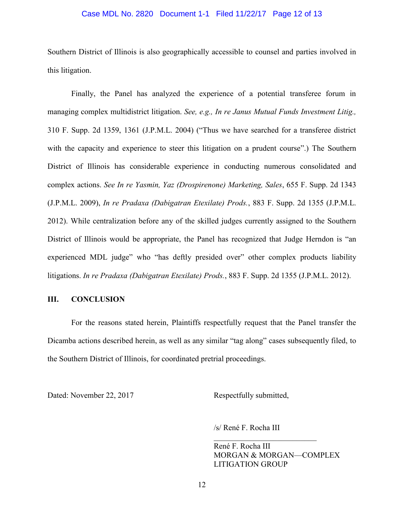## Case MDL No. 2820 Document 1-1 Filed 11/22/17 Page 12 of 13

Southern District of Illinois is also geographically accessible to counsel and parties involved in this litigation.

Finally, the Panel has analyzed the experience of a potential transferee forum in managing complex multidistrict litigation. *See, e.g., In re Janus Mutual Funds Investment Litig.,*  310 F. Supp. 2d 1359, 1361 (J.P.M.L. 2004) ("Thus we have searched for a transferee district with the capacity and experience to steer this litigation on a prudent course".) The Southern District of Illinois has considerable experience in conducting numerous consolidated and complex actions. *See In re Yasmin, Yaz (Drospirenone) Marketing, Sales*, 655 F. Supp. 2d 1343 (J.P.M.L. 2009), *In re Pradaxa (Dabigatran Etexilate) Prods.*, 883 F. Supp. 2d 1355 (J.P.M.L. 2012). While centralization before any of the skilled judges currently assigned to the Southern District of Illinois would be appropriate, the Panel has recognized that Judge Herndon is "an experienced MDL judge" who "has deftly presided over" other complex products liability litigations. *In re Pradaxa (Dabigatran Etexilate) Prods.*, 883 F. Supp. 2d 1355 (J.P.M.L. 2012).

# **III. CONCLUSION**

For the reasons stated herein, Plaintiffs respectfully request that the Panel transfer the Dicamba actions described herein, as well as any similar "tag along" cases subsequently filed, to the Southern District of Illinois, for coordinated pretrial proceedings.

Dated: November 22, 2017 Respectfully submitted,

/s/ René F. Rocha III

René F. Rocha III MORGAN & MORGAN—COMPLEX LITIGATION GROUP

 $\mathcal{L}_\text{max}$  , where  $\mathcal{L}_\text{max}$  and  $\mathcal{L}_\text{max}$